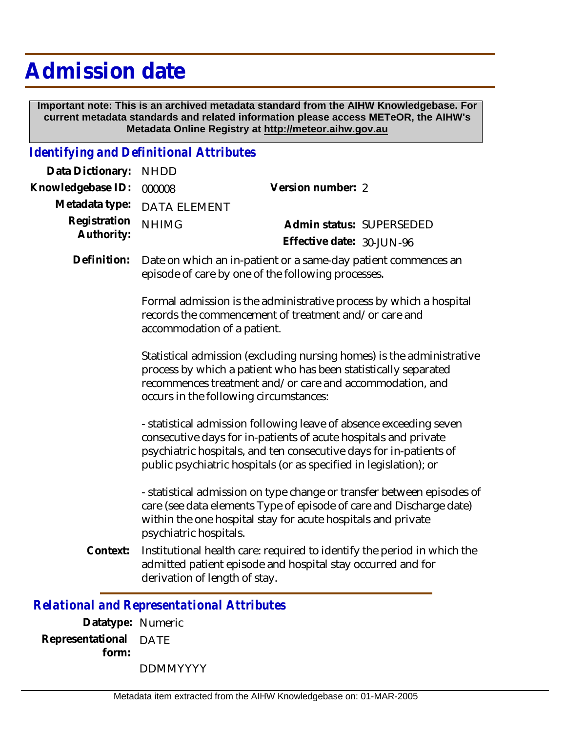## **Admission date**

 **Important note: This is an archived metadata standard from the AIHW Knowledgebase. For current metadata standards and related information please access METeOR, the AIHW's Metadata Online Registry at http://meteor.aihw.gov.au**

## *Identifying and Definitional Attributes*

| Data Dictionary:<br><b>NHDD</b>            |                                                                                                                                                                                                                                                |                                                                                                                                                                                                                                                                                  |  |
|--------------------------------------------|------------------------------------------------------------------------------------------------------------------------------------------------------------------------------------------------------------------------------------------------|----------------------------------------------------------------------------------------------------------------------------------------------------------------------------------------------------------------------------------------------------------------------------------|--|
| Knowledgebase ID:<br>000008                |                                                                                                                                                                                                                                                | Version number: 2                                                                                                                                                                                                                                                                |  |
| Metadata type:                             | <b>DATA ELEMENT</b>                                                                                                                                                                                                                            |                                                                                                                                                                                                                                                                                  |  |
| Registration<br><b>NHIMG</b><br>Authority: |                                                                                                                                                                                                                                                | Admin status: SUPERSEDED                                                                                                                                                                                                                                                         |  |
|                                            |                                                                                                                                                                                                                                                | Effective date: 30-JUN-96                                                                                                                                                                                                                                                        |  |
| Definition:                                |                                                                                                                                                                                                                                                | Date on which an in-patient or a same-day patient commences an<br>episode of care by one of the following processes.                                                                                                                                                             |  |
|                                            | Formal admission is the administrative process by which a hospital<br>records the commencement of treatment and/or care and<br>accommodation of a patient.                                                                                     |                                                                                                                                                                                                                                                                                  |  |
|                                            | Statistical admission (excluding nursing homes) is the administrative<br>process by which a patient who has been statistically separated<br>recommences treatment and/or care and accommodation, and<br>occurs in the following circumstances: |                                                                                                                                                                                                                                                                                  |  |
|                                            |                                                                                                                                                                                                                                                | - statistical admission following leave of absence exceeding seven<br>consecutive days for in-patients of acute hospitals and private<br>psychiatric hospitals, and ten consecutive days for in-patients of<br>public psychiatric hospitals (or as specified in legislation); or |  |
|                                            | psychiatric hospitals.                                                                                                                                                                                                                         | - statistical admission on type change or transfer between episodes of<br>care (see data elements Type of episode of care and Discharge date)<br>within the one hospital stay for acute hospitals and private                                                                    |  |
| Context:                                   |                                                                                                                                                                                                                                                | Institutional health care: required to identify the period in which the<br>admitted patient episode and hospital stay occurred and for<br>derivation of length of stay.                                                                                                          |  |
|                                            |                                                                                                                                                                                                                                                | <b>Relational and Representational Attributes</b>                                                                                                                                                                                                                                |  |
|                                            |                                                                                                                                                                                                                                                |                                                                                                                                                                                                                                                                                  |  |

**Datatype:** Numeric **Representational** DATE  **form:**

DDMMYYYY